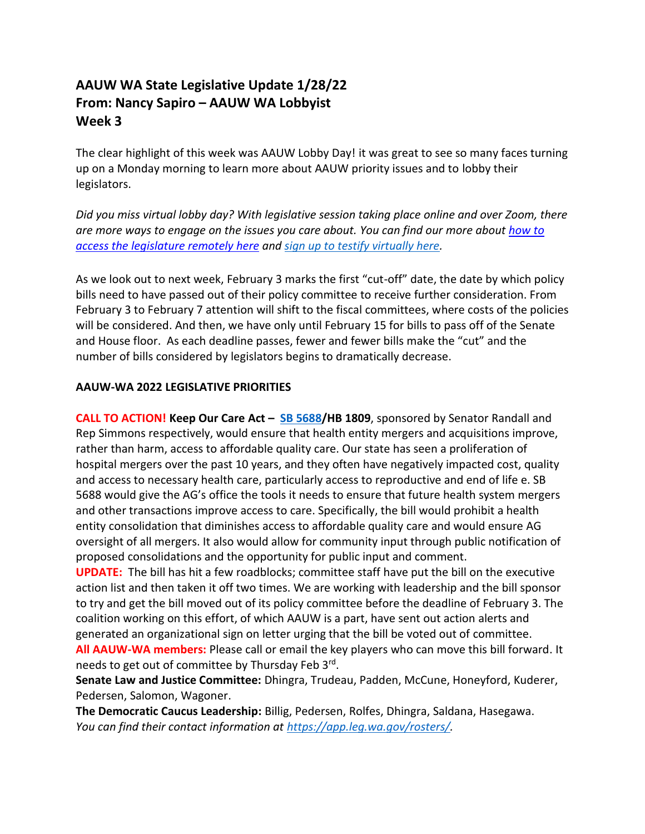## **AAUW WA State Legislative Update 1/28/22 From: Nancy Sapiro – AAUW WA Lobbyist Week 3**

The clear highlight of this week was AAUW Lobby Day! it was great to see so many faces turning up on a Monday morning to learn more about AAUW priority issues and to lobby their legislators.

*Did you miss virtual lobby day? With legislative session taking place online and over Zoom, there are more ways to engage on the issues you care about. You can find our more about [how to](https://leg.wa.gov/legislature/Documents/2020/Accessing%20the%20Legislature%20remotely.pdf?csf=1&e=V7Lscu)  [access the legislature remotely here](https://leg.wa.gov/legislature/Documents/2020/Accessing%20the%20Legislature%20remotely.pdf?csf=1&e=V7Lscu) and [sign up to testify virtually here.](https://app.leg.wa.gov/csi)*

As we look out to next week, February 3 marks the first "cut-off" date, the date by which policy bills need to have passed out of their policy committee to receive further consideration. From February 3 to February 7 attention will shift to the fiscal committees, where costs of the policies will be considered. And then, we have only until February 15 for bills to pass off of the Senate and House floor. As each deadline passes, fewer and fewer bills make the "cut" and the number of bills considered by legislators begins to dramatically decrease.

## **AAUW-WA 2022 LEGISLATIVE PRIORITIES**

**CALL TO ACTION! Keep Our Care Act – [SB 5688/](https://app.leg.wa.gov/billsummary?BillNumber=5688&Chamber=Senate&Year=2021)HB 1809**, sponsored by Senator Randall and Rep Simmons respectively, would ensure that health entity mergers and acquisitions improve, rather than harm, access to affordable quality care. Our state has seen a proliferation of hospital mergers over the past 10 years, and they often have negatively impacted cost, quality and access to necessary health care, particularly access to reproductive and end of life e. SB 5688 would give the AG's office the tools it needs to ensure that future health system mergers and other transactions improve access to care. Specifically, the bill would prohibit a health entity consolidation that diminishes access to affordable quality care and would ensure AG oversight of all mergers. It also would allow for community input through public notification of proposed consolidations and the opportunity for public input and comment.

**UPDATE:** The bill has hit a few roadblocks; committee staff have put the bill on the executive action list and then taken it off two times. We are working with leadership and the bill sponsor to try and get the bill moved out of its policy committee before the deadline of February 3. The coalition working on this effort, of which AAUW is a part, have sent out action alerts and generated an organizational sign on letter urging that the bill be voted out of committee. **All AAUW-WA members:** Please call or email the key players who can move this bill forward. It needs to get out of committee by Thursday Feb 3rd.

**Senate Law and Justice Committee:** Dhingra, Trudeau, Padden, McCune, Honeyford, Kuderer, Pedersen, Salomon, Wagoner.

**The Democratic Caucus Leadership:** Billig, Pedersen, Rolfes, Dhingra, Saldana, Hasegawa. *You can find their contact information at [https://app.leg.wa.gov/rosters/.](https://app.leg.wa.gov/rosters/)*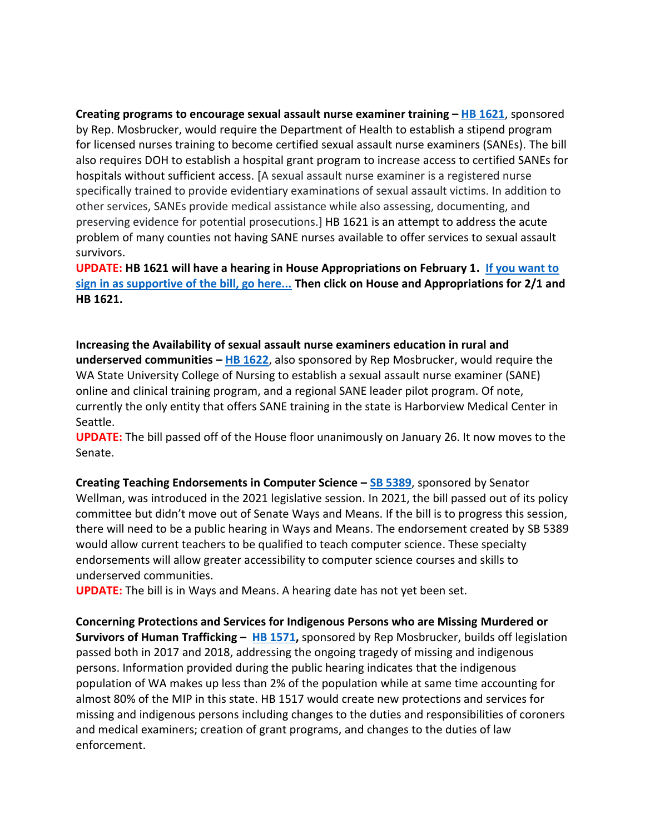**Creating programs to encourage sexual assault nurse examiner training – [HB 1621](https://app.leg.wa.gov/billsummary?BillNumber=1621&Year=2021&Initiative=false)**, sponsored by Rep. Mosbrucker, would require the Department of Health to establish a stipend program for licensed nurses training to become certified sexual assault nurse examiners (SANEs). The bill also requires DOH to establish a hospital grant program to increase access to certified SANEs for hospitals without sufficient access. [A sexual assault nurse examiner is a registered nurse specifically trained to provide evidentiary examinations of sexual assault victims. In addition to other services, SANEs provide medical assistance while also assessing, documenting, and preserving evidence for potential prosecutions.] HB 1621 is an attempt to address the acute problem of many counties not having SANE nurses available to offer services to sexual assault survivors.

**UPDATE: HB 1621 will have a hearing in House Appropriations on February 1. [If you want to](https://app.leg.wa.gov/csi)  [sign in as supportive of the bill, go here...](https://app.leg.wa.gov/csi) Then click on House and Appropriations for 2/1 and HB 1621.**

**Increasing the Availability of sexual assault nurse examiners education in rural and underserved communities – [HB 1622](https://app.leg.wa.gov/billsummary?BillNumber=1622&Initiative=false&Year=2021)**, also sponsored by Rep Mosbrucker, would require the WA State University College of Nursing to establish a sexual assault nurse examiner (SANE) online and clinical training program, and a regional SANE leader pilot program. Of note, currently the only entity that offers SANE training in the state is Harborview Medical Center in Seattle.

**UPDATE:** The bill passed off of the House floor unanimously on January 26. It now moves to the Senate.

**Creating Teaching Endorsements in Computer Science – [SB 5389](https://app.leg.wa.gov/billsummary?BillNumber=5389&Year=2021&Initiative=false)**, sponsored by Senator Wellman, was introduced in the 2021 legislative session. In 2021, the bill passed out of its policy committee but didn't move out of Senate Ways and Means. If the bill is to progress this session, there will need to be a public hearing in Ways and Means. The endorsement created by SB 5389 would allow current teachers to be qualified to teach computer science. These specialty endorsements will allow greater accessibility to computer science courses and skills to underserved communities.

**UPDATE:** The bill is in Ways and Means. A hearing date has not yet been set.

**Concerning Protections and Services for Indigenous Persons who are Missing Murdered or Survivors of Human Trafficking – [HB 1571,](https://app.leg.wa.gov/billsummary?BillNumber=1571&Year=2021&Initiative=false)** sponsored by Rep Mosbrucker, builds off legislation passed both in 2017 and 2018, addressing the ongoing tragedy of missing and indigenous persons. Information provided during the public hearing indicates that the indigenous population of WA makes up less than 2% of the population while at same time accounting for almost 80% of the MIP in this state. HB 1517 would create new protections and services for missing and indigenous persons including changes to the duties and responsibilities of coroners and medical examiners; creation of grant programs, and changes to the duties of law enforcement.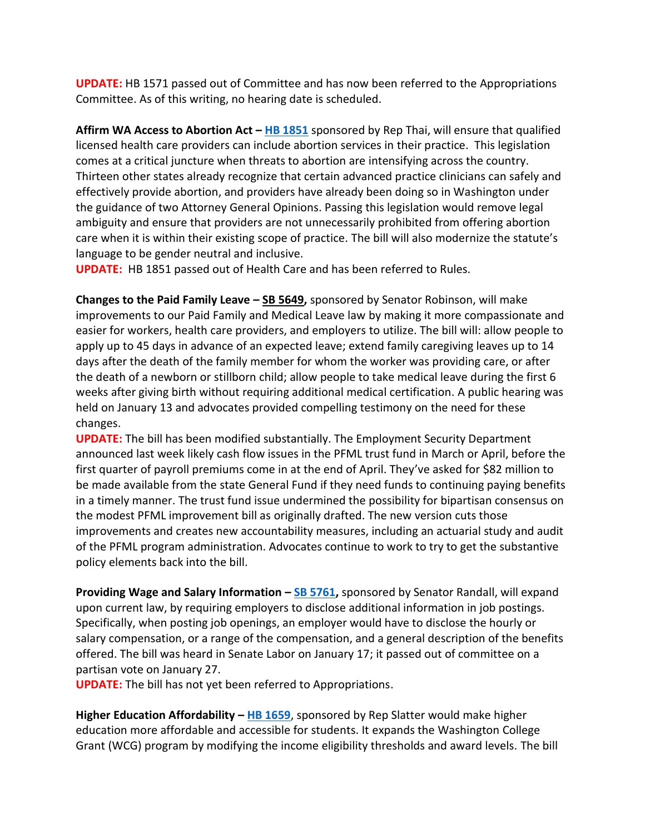**UPDATE:** HB 1571 passed out of Committee and has now been referred to the Appropriations Committee. As of this writing, no hearing date is scheduled.

**Affirm WA Access to Abortion Act – [HB 1851](https://app.leg.wa.gov/billsummary?BillNumber=1851&Initiative=false&Year=2021)** sponsored by Rep Thai, will ensure that qualified licensed health care providers can include abortion services in their practice. This legislation comes at a critical juncture when threats to abortion are intensifying across the country. Thirteen other states already recognize that certain advanced practice clinicians can safely and effectively provide abortion, and providers have already been doing so in Washington under the guidance of two Attorney General Opinions. Passing this legislation would remove legal ambiguity and ensure that providers are not unnecessarily prohibited from offering abortion care when it is within their existing scope of practice. The bill will also modernize the statute's language to be gender neutral and inclusive.

**UPDATE:** HB 1851 passed out of Health Care and has been referred to Rules.

**Changes to the Paid Family Leave – [SB 5649,](https://app.leg.wa.gov/billsummary?BillNumber=5649&Year=2021&Initiative=false)** sponsored by Senator Robinson, will make improvements to our Paid Family and Medical Leave law by making it more compassionate and easier for workers, health care providers, and employers to utilize. The bill will: allow people to apply up to 45 days in advance of an expected leave; extend family caregiving leaves up to 14 days after the death of the family member for whom the worker was providing care, or after the death of a newborn or stillborn child; allow people to take medical leave during the first 6 weeks after giving birth without requiring additional medical certification. A public hearing was held on January 13 and advocates provided compelling testimony on the need for these changes.

**UPDATE:** The bill has been modified substantially. The Employment Security Department announced last week likely cash flow issues in the PFML trust fund in March or April, before the first quarter of payroll premiums come in at the end of April. They've asked for \$82 million to be made available from the state General Fund if they need funds to continuing paying benefits in a timely manner. The trust fund issue undermined the possibility for bipartisan consensus on the modest PFML improvement bill as originally drafted. The new version cuts those improvements and creates new accountability measures, including an actuarial study and audit of the PFML program administration. Advocates continue to work to try to get the substantive policy elements back into the bill.

**Providing Wage and Salary Information – [SB 5761,](https://app.leg.wa.gov/billsummary?BillNumber=5761&Year=2021&Initiative=false)** sponsored by Senator Randall, will expand upon current law, by requiring employers to disclose additional information in job postings. Specifically, when posting job openings, an employer would have to disclose the hourly or salary compensation, or a range of the compensation, and a general description of the benefits offered. The bill was heard in Senate Labor on January 17; it passed out of committee on a partisan vote on January 27.

**UPDATE:** The bill has not yet been referred to Appropriations.

**Higher Education Affordability – [HB 1659](https://app.leg.wa.gov/billsummary?billnumber=1659&year=2022)**, sponsored by Rep Slatter would make higher education more affordable and accessible for students. It expands the Washington College Grant (WCG) program by modifying the income eligibility thresholds and award levels. The bill